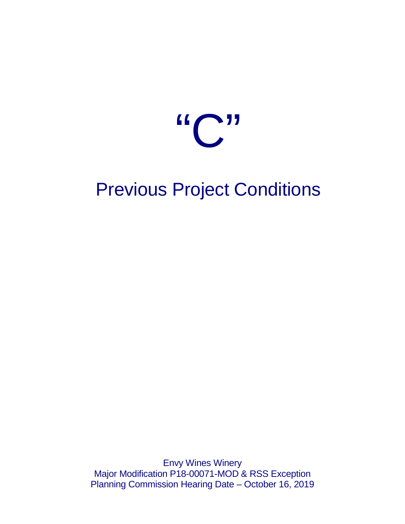

# Previous Project Conditions

Envy Wines Winery Major Modification P18-00071-MOD & RSS Exception Planning Commission Hearing Date – October 16, 2019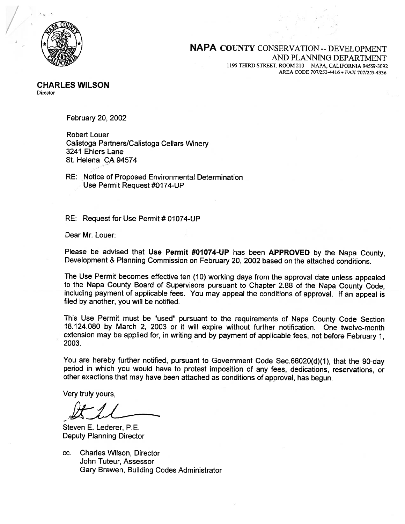

#### **NAPA COUNTY CONSERVATION -- DEVELOPMENT** AND PLANNING DEPARTMENT 1195 THIRD STREET, ROOM 210 NAPA, CALIFORNIA 94559-3092 AREA CODE 707/253-4416 · FAX 707/253-4336

February 20, 2002

**Robert Louer** Calistoga Partners/Calistoga Cellars Winery 3241 Ehlers Lane St. Helena CA 94574

RE: Notice of Proposed Environmental Determination Use Permit Request #0174-UP

RE: Request for Use Permit # 01074-UP

Dear Mr. Louer:

Please be advised that Use Permit #01074-UP has been APPROVED by the Napa County. Development & Planning Commission on February 20, 2002 based on the attached conditions.

The Use Permit becomes effective ten (10) working days from the approval date unless appealed to the Napa County Board of Supervisors pursuant to Chapter 2.88 of the Napa County Code, including payment of applicable fees. You may appeal the conditions of approval. If an appeal is filed by another, you will be notified.

This Use Permit must be "used" pursuant to the requirements of Napa County Code Section 18.124.080 by March 2, 2003 or it will expire without further notification. One twelve-month extension may be applied for, in writing and by payment of applicable fees, not before February 1, 2003.

You are hereby further notified, pursuant to Government Code Sec.66020(d)(1), that the 90-day period in which you would have to protest imposition of any fees, dedications, reservations, or other exactions that may have been attached as conditions of approval, has begun.

Very truly yours,

Steven E. Lederer, P.E. **Deputy Planning Director** 

**Charles Wilson, Director** CC. John Tuteur, Assessor Gary Brewen, Building Codes Administrator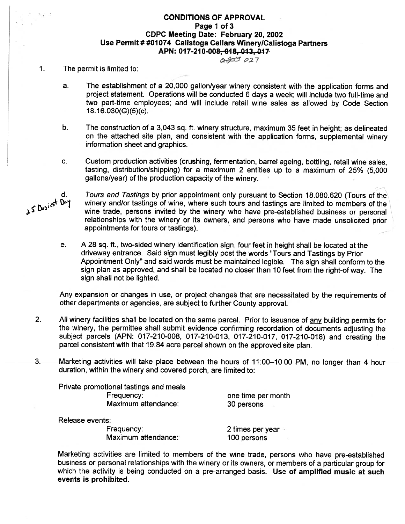#### **CONDITIONS OF APPROVAL** Page 1 of 3 CDPC Meeting Date: February 20, 2002 Use Permit # #01074 Calistoga Cellars Winery/Calistoga Partners APN: 017-210-008, 018, 013, 017

#### $0.400027$

#### $\mathbf{1}$ . The permit is limited to:

- The establishment of a 20,000 gallon/year winery consistent with the application forms and  $a_{\cdot}$ project statement. Operations will be conducted 6 days a week; will include two full-time and two part-time employees; and will include retail wine sales as allowed by Code Section  $18.16.030(G)(5)(c)$ .
- b. The construction of a 3,043 sq. ft. winery structure, maximum 35 feet in height; as delineated on the attached site plan, and consistent with the application forms, supplemental winery information sheet and graphics.
- C. Custom production activities (crushing, fermentation, barrel ageing, bottling, retail wine sales. tasting, distribution/shipping) for a maximum 2 entities up to a maximum of 25% (5,000 gallons/year) of the production capacity of the winery.

Tours and Tastings by prior appointment only pursuant to Section 18,080,620 (Tours of the winery and/or tastings of wine, where such tours and tastings are limited to members of the wine trade, persons invited by the winery who have pre-established business or personal relationships with the winery or its owners, and persons who have made unsolicited prior appointments for tours or tastings).

 $e_{1}$ A 28 sq. ft., two-sided winery identification sign, four feet in height shall be located at the driveway entrance. Said sign must legibly post the words "Tours and Tastings by Prior Appointment Only" and said words must be maintained legible. The sign shall conform to the sign plan as approved, and shall be located no closer than 10 feet from the right-of way. The sign shall not be lighted.

Any expansion or changes in use, or project changes that are necessitated by the requirements of other departments or agencies, are subject to further County approval.

- $2.$ All winery facilities shall be located on the same parcel. Prior to issuance of any building permits for the winery, the permittee shall submit evidence confirming recordation of documents adjusting the subject parcels (APN: 017-210-008, 017-210-013, 017-210-017, 017-210-018) and creating the parcel consistent with that 19.84 acre parcel shown on the approved site plan.
- Marketing activities will take place between the hours of 11:00-10:00 PM, no longer than 4 hour 3. duration, within the winery and covered porch, are limited to:

Private promotional tastings and meals Frequency: Maximum attendance:

one time per month 30 persons

Release events:

Frequency: Maximum attendance: 2 times per year 100 persons

Marketing activities are limited to members of the wine trade, persons who have pre-established business or personal relationships with the winery or its owners, or members of a particular group for which the activity is being conducted on a pre-arranged basis. Use of amplified music at such events is prohibited.

25 Busicst Dey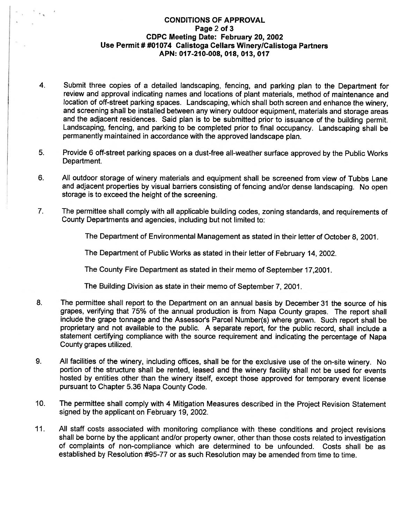#### **CONDITIONS OF APPROVAL** Page 2 of 3 CDPC Meeting Date: February 20, 2002 Use Permit # #01074 Calistoga Cellars Winery/Calistoga Partners APN: 017-210-008, 018, 013, 017

- $4.$ Submit three copies of a detailed landscaping, fencing, and parking plan to the Department for review and approval indicating names and locations of plant materials, method of maintenance and location of off-street parking spaces. Landscaping, which shall both screen and enhance the winery. and screening shall be installed between any winery outdoor equipment, materials and storage areas and the adjacent residences. Said plan is to be submitted prior to issuance of the building permit. Landscaping, fencing, and parking to be completed prior to final occupancy. Landscaping shall be permanently maintained in accordance with the approved landscape plan.
- 5. Provide 6 off-street parking spaces on a dust-free all-weather surface approved by the Public Works Department.
- 6. All outdoor storage of winery materials and equipment shall be screened from view of Tubbs Lane and adjacent properties by visual barriers consisting of fencing and/or dense landscaping. No open storage is to exceed the height of the screening.
- $7.$ The permittee shall comply with all applicable building codes, zoning standards, and requirements of County Departments and agencies, including but not limited to:

The Department of Environmental Management as stated in their letter of October 8, 2001.

The Department of Public Works as stated in their letter of February 14, 2002.

The County Fire Department as stated in their memo of September 17,2001.

The Building Division as state in their memo of September 7, 2001.

- 8. The permittee shall report to the Department on an annual basis by December 31 the source of his grapes, verifying that 75% of the annual production is from Napa County grapes. The report shall include the grape tonnage and the Assessor's Parcel Number(s) where grown. Such report shall be proprietary and not available to the public. A separate report, for the public record, shall include a statement certifying compliance with the source requirement and indicating the percentage of Napa County grapes utilized.
- 9. All facilities of the winery, including offices, shall be for the exclusive use of the on-site winery. No portion of the structure shall be rented, leased and the winery facility shall not be used for events hosted by entities other than the winery itself, except those approved for temporary event license pursuant to Chapter 5.36 Napa County Code.
- $10.$ The permittee shall comply with 4 Mitigation Measures described in the Project Revision Statement signed by the applicant on February 19, 2002.
- All staff costs associated with monitoring compliance with these conditions and project revisions  $11.$ shall be borne by the applicant and/or property owner, other than those costs related to investigation of complaints of non-compliance which are determined to be unfounded. Costs shall be as established by Resolution #95-77 or as such Resolution may be amended from time to time.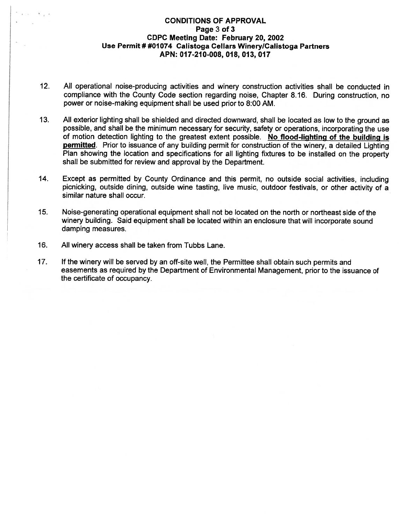#### **CONDITIONS OF APPROVAL** Page 3 of 3 **CDPC Meeting Date: February 20, 2002** Use Permit # #01074 Calistoga Cellars Winery/Calistoga Partners APN: 017-210-008, 018, 013, 017

- $12.$ All operational noise-producing activities and winery construction activities shall be conducted in compliance with the County Code section regarding noise, Chapter 8.16. During construction, no power or noise-making equipment shall be used prior to 8:00 AM.
- $13.$ All exterior lighting shall be shielded and directed downward, shall be located as low to the ground as possible, and shall be the minimum necessary for security, safety or operations, incorporating the use of motion detection lighting to the greatest extent possible. No flood-lighting of the building is permitted. Prior to issuance of any building permit for construction of the winery, a detailed Lighting Plan showing the location and specifications for all lighting fixtures to be installed on the property shall be submitted for review and approval by the Department.
- Except as permitted by County Ordinance and this permit, no outside social activities, including 14. picnicking, outside dining, outside wine tasting, live music, outdoor festivals, or other activity of a similar nature shall occur.
- $15.$ Noise-generating operational equipment shall not be located on the north or northeast side of the winery building. Said equipment shall be located within an enclosure that will incorporate sound damping measures.
- 16. All winery access shall be taken from Tubbs Lane.
- $17.$ If the winery will be served by an off-site well, the Permittee shall obtain such permits and easements as required by the Department of Environmental Management, prior to the issuance of the certificate of occupancy.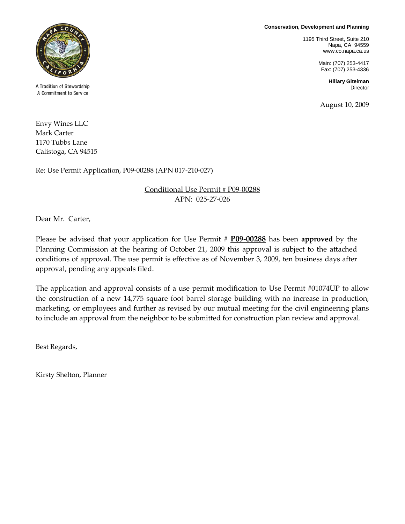**Conservation, Development and Planning**

1195 Third Street, Suite 210 Napa, CA 94559 www.co.napa.ca.us

> Main: (707) 253-4417 Fax: (707) 253-4336

> > **Hillary Gitelman** Director

August 10, 2009



A Tradition of Stewardship A Commitment to Service

Envy Wines LLC Mark Carter 1170 Tubbs Lane Calistoga, CA 94515

Re: Use Permit Application, P09-00288 (APN 017-210-027)

#### Conditional Use Permit # P09-00288 APN: 025-27-026

Dear Mr. Carter,

Please be advised that your application for Use Permit # **P09-00288** has been **approved** by the Planning Commission at the hearing of October 21, 2009 this approval is subject to the attached conditions of approval. The use permit is effective as of November 3, 2009, ten business days after approval, pending any appeals filed.

The application and approval consists of a use permit modification to Use Permit #01074UP to allow the construction of a new 14,775 square foot barrel storage building with no increase in production, marketing, or employees and further as revised by our mutual meeting for the civil engineering plans to include an approval from the neighbor to be submitted for construction plan review and approval.

Best Regards,

Kirsty Shelton, Planner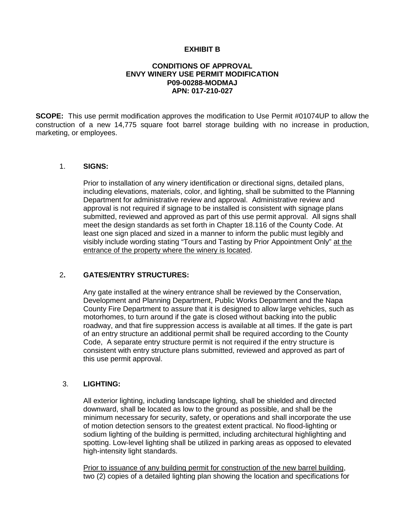#### **EXHIBIT B**

#### **CONDITIONS OF APPROVAL ENVY WINERY USE PERMIT MODIFICATION P09-00288-MODMAJ APN: 017-210-027**

**SCOPE:** This use permit modification approves the modification to Use Permit #01074UP to allow the construction of a new 14,775 square foot barrel storage building with no increase in production, marketing, or employees.

#### 1. **SIGNS:**

Prior to installation of any winery identification or directional signs, detailed plans, including elevations, materials, color, and lighting, shall be submitted to the Planning Department for administrative review and approval. Administrative review and approval is not required if signage to be installed is consistent with signage plans submitted, reviewed and approved as part of this use permit approval. All signs shall meet the design standards as set forth in Chapter 18.116 of the County Code. At least one sign placed and sized in a manner to inform the public must legibly and visibly include wording stating "Tours and Tasting by Prior Appointment Only" at the entrance of the property where the winery is located.

#### 2**. GATES/ENTRY STRUCTURES:**

Any gate installed at the winery entrance shall be reviewed by the Conservation, Development and Planning Department, Public Works Department and the Napa County Fire Department to assure that it is designed to allow large vehicles, such as motorhomes, to turn around if the gate is closed without backing into the public roadway, and that fire suppression access is available at all times. If the gate is part of an entry structure an additional permit shall be required according to the County Code, A separate entry structure permit is not required if the entry structure is consistent with entry structure plans submitted, reviewed and approved as part of this use permit approval.

#### 3. **LIGHTING:**

All exterior lighting, including landscape lighting, shall be shielded and directed downward, shall be located as low to the ground as possible, and shall be the minimum necessary for security, safety, or operations and shall incorporate the use of motion detection sensors to the greatest extent practical. No flood-lighting or sodium lighting of the building is permitted, including architectural highlighting and spotting. Low-level lighting shall be utilized in parking areas as opposed to elevated high-intensity light standards.

Prior to issuance of any building permit for construction of the new barrel building, two (2) copies of a detailed lighting plan showing the location and specifications for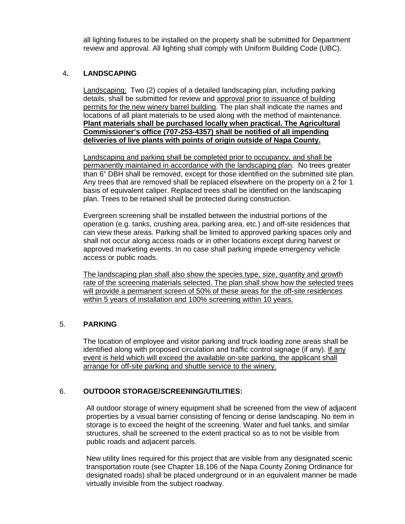all lighting fixtures to be installed on the property shall be submitted for Department review and approval. All lighting shall comply with Uniform Building Code (UBC).

#### 4**. LANDSCAPING**

Landscaping: Two (2) copies of a detailed landscaping plan, including parking details, shall be submitted for review and approval prior to issuance of building permits for the new winery barrel building. The plan shall indicate the names and locations of all plant materials to be used along with the method of maintenance. **Plant materials shall be purchased locally when practical. The Agricultural Commissioner's office (707-253-4357) shall be notified of all impending deliveries of live plants with points of origin outside of Napa County.**

Landscaping and parking shall be completed prior to occupancy, and shall be permanently maintained in accordance with the landscaping plan. No trees greater than 6" DBH shall be removed, except for those identified on the submitted site plan. Any trees that are removed shall be replaced elsewhere on the property on a 2 for 1 basis of equivalent caliper. Replaced trees shall be identified on the landscaping plan. Trees to be retained shall be protected during construction.

Evergreen screening shall be installed between the industrial portions of the operation (e.g. tanks, crushing area, parking area, etc.) and off-site residences that can view these areas. Parking shall be limited to approved parking spaces only and shall not occur along access roads or in other locations except during harvest or approved marketing events. In no case shall parking impede emergency vehicle access or public roads.

The landscaping plan shall also show the species type, size, quantity and growth rate of the screening materials selected. The plan shall show how the selected trees will provide a permanent screen of 50% of these areas for the off-site residences within 5 years of installation and 100% screening within 10 years.

#### 5. **PARKING**

The location of employee and visitor parking and truck loading zone areas shall be identified along with proposed circulation and traffic control signage (if any). If any event is held which will exceed the available on-site parking, the applicant shall arrange for off-site parking and shuttle service to the winery.

#### 6. **OUTDOOR STORAGE/SCREENING/UTILITIES:**

All outdoor storage of winery equipment shall be screened from the view of adjacent properties by a visual barrier consisting of fencing or dense landscaping. No item in storage is to exceed the height of the screening. Water and fuel tanks, and similar structures, shall be screened to the extent practical so as to not be visible from public roads and adjacent parcels.

New utility lines required for this project that are visible from any designated scenic transportation route (see Chapter 18.106 of the Napa County Zoning Ordinance for designated roads) shall be placed underground or in an equivalent manner be made virtually invisible from the subject roadway.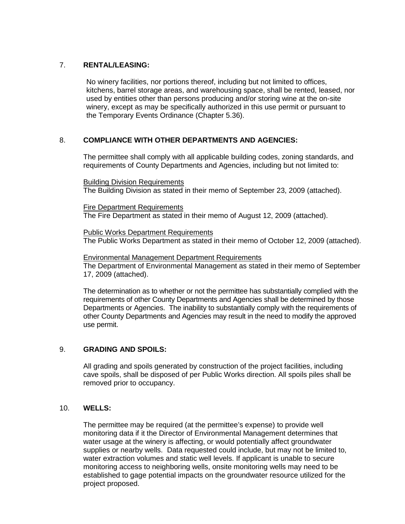#### 7. **RENTAL/LEASING:**

No winery facilities, nor portions thereof, including but not limited to offices, kitchens, barrel storage areas, and warehousing space, shall be rented, leased, nor used by entities other than persons producing and/or storing wine at the on-site winery, except as may be specifically authorized in this use permit or pursuant to the Temporary Events Ordinance (Chapter 5.36).

#### 8. **COMPLIANCE WITH OTHER DEPARTMENTS AND AGENCIES:**

The permittee shall comply with all applicable building codes, zoning standards, and requirements of County Departments and Agencies, including but not limited to:

Building Division Requirements

The Building Division as stated in their memo of September 23, 2009 (attached).

Fire Department Requirements The Fire Department as stated in their memo of August 12, 2009 (attached).

Public Works Department Requirements The Public Works Department as stated in their memo of October 12, 2009 (attached).

#### Environmental Management Department Requirements

The Department of Environmental Management as stated in their memo of September 17, 2009 (attached).

The determination as to whether or not the permittee has substantially complied with the requirements of other County Departments and Agencies shall be determined by those Departments or Agencies. The inability to substantially comply with the requirements of other County Departments and Agencies may result in the need to modify the approved use permit.

#### 9. **GRADING AND SPOILS:**

All grading and spoils generated by construction of the project facilities, including cave spoils, shall be disposed of per Public Works direction. All spoils piles shall be removed prior to occupancy.

#### 10. **WELLS:**

The permittee may be required (at the permittee's expense) to provide well monitoring data if it the Director of Environmental Management determines that water usage at the winery is affecting, or would potentially affect groundwater supplies or nearby wells. Data requested could include, but may not be limited to, water extraction volumes and static well levels. If applicant is unable to secure monitoring access to neighboring wells, onsite monitoring wells may need to be established to gage potential impacts on the groundwater resource utilized for the project proposed.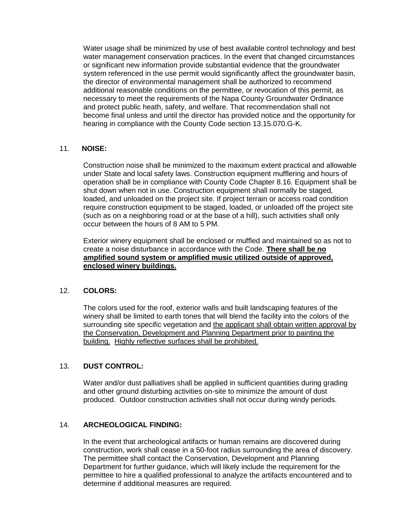Water usage shall be minimized by use of best available control technology and best water management conservation practices. In the event that changed circumstances or significant new information provide substantial evidence that the groundwater system referenced in the use permit would significantly affect the groundwater basin, the director of environmental management shall be authorized to recommend additional reasonable conditions on the permittee, or revocation of this permit, as necessary to meet the requirements of the Napa County Groundwater Ordinance and protect public heath, safety, and welfare. That recommendation shall not become final unless and until the director has provided notice and the opportunity for hearing in compliance with the County Code section 13.15.070.G-K.

#### 11. **NOISE:**

Construction noise shall be minimized to the maximum extent practical and allowable under State and local safety laws. Construction equipment mufflering and hours of operation shall be in compliance with County Code Chapter 8.16. Equipment shall be shut down when not in use. Construction equipment shall normally be staged, loaded, and unloaded on the project site. If project terrain or access road condition require construction equipment to be staged, loaded, or unloaded off the project site (such as on a neighboring road or at the base of a hill), such activities shall only occur between the hours of 8 AM to 5 PM.

Exterior winery equipment shall be enclosed or muffled and maintained so as not to create a noise disturbance in accordance with the Code. **There shall be no amplified sound system or amplified music utilized outside of approved, enclosed winery buildings.** 

#### 12. **COLORS:**

The colors used for the roof, exterior walls and built landscaping features of the winery shall be limited to earth tones that will blend the facility into the colors of the surrounding site specific vegetation and the applicant shall obtain written approval by the Conservation, Development and Planning Department prior to painting the building. Highly reflective surfaces shall be prohibited.

#### 13. **DUST CONTROL:**

Water and/or dust palliatives shall be applied in sufficient quantities during grading and other ground disturbing activities on-site to minimize the amount of dust produced. Outdoor construction activities shall not occur during windy periods.

#### 14. **ARCHEOLOGICAL FINDING:**

In the event that archeological artifacts or human remains are discovered during construction, work shall cease in a 50-foot radius surrounding the area of discovery. The permittee shall contact the Conservation, Development and Planning Department for further guidance, which will likely include the requirement for the permittee to hire a qualified professional to analyze the artifacts encountered and to determine if additional measures are required.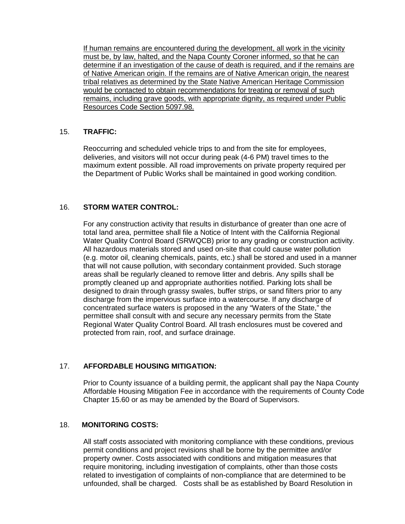If human remains are encountered during the development, all work in the vicinity must be, by law, halted, and the Napa County Coroner informed, so that he can determine if an investigation of the cause of death is required, and if the remains are of Native American origin. If the remains are of Native American origin, the nearest tribal relatives as determined by the State Native American Heritage Commission would be contacted to obtain recommendations for treating or removal of such remains, including grave goods, with appropriate dignity, as required under Public Resources Code Section 5097.98.

#### 15. **TRAFFIC:**

Reoccurring and scheduled vehicle trips to and from the site for employees, deliveries, and visitors will not occur during peak (4-6 PM) travel times to the maximum extent possible. All road improvements on private property required per the Department of Public Works shall be maintained in good working condition.

#### 16. **STORM WATER CONTROL:**

For any construction activity that results in disturbance of greater than one acre of total land area, permittee shall file a Notice of Intent with the California Regional Water Quality Control Board (SRWQCB) prior to any grading or construction activity. All hazardous materials stored and used on-site that could cause water pollution (e.g. motor oil, cleaning chemicals, paints, etc.) shall be stored and used in a manner that will not cause pollution, with secondary containment provided. Such storage areas shall be regularly cleaned to remove litter and debris. Any spills shall be promptly cleaned up and appropriate authorities notified. Parking lots shall be designed to drain through grassy swales, buffer strips, or sand filters prior to any discharge from the impervious surface into a watercourse. If any discharge of concentrated surface waters is proposed in the any "Waters of the State," the permittee shall consult with and secure any necessary permits from the State Regional Water Quality Control Board. All trash enclosures must be covered and protected from rain, roof, and surface drainage.

#### 17. **AFFORDABLE HOUSING MITIGATION:**

Prior to County issuance of a building permit, the applicant shall pay the Napa County Affordable Housing Mitigation Fee in accordance with the requirements of County Code Chapter 15.60 or as may be amended by the Board of Supervisors.

#### 18. **MONITORING COSTS:**

All staff costs associated with monitoring compliance with these conditions, previous permit conditions and project revisions shall be borne by the permittee and/or property owner. Costs associated with conditions and mitigation measures that require monitoring, including investigation of complaints, other than those costs related to investigation of complaints of non-compliance that are determined to be unfounded, shall be charged. Costs shall be as established by Board Resolution in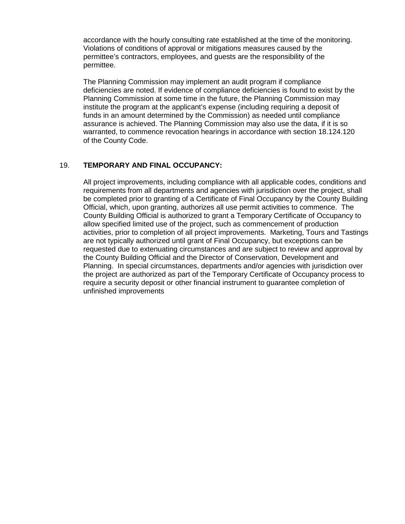accordance with the hourly consulting rate established at the time of the monitoring. Violations of conditions of approval or mitigations measures caused by the permittee's contractors, employees, and guests are the responsibility of the permittee.

The Planning Commission may implement an audit program if compliance deficiencies are noted. If evidence of compliance deficiencies is found to exist by the Planning Commission at some time in the future, the Planning Commission may institute the program at the applicant's expense (including requiring a deposit of funds in an amount determined by the Commission) as needed until compliance assurance is achieved. The Planning Commission may also use the data, if it is so warranted, to commence revocation hearings in accordance with section 18.124.120 of the County Code.

#### 19. **TEMPORARY AND FINAL OCCUPANCY:**

All project improvements, including compliance with all applicable codes, conditions and requirements from all departments and agencies with jurisdiction over the project, shall be completed prior to granting of a Certificate of Final Occupancy by the County Building Official, which, upon granting, authorizes all use permit activities to commence. The County Building Official is authorized to grant a Temporary Certificate of Occupancy to allow specified limited use of the project, such as commencement of production activities, prior to completion of all project improvements. Marketing, Tours and Tastings are not typically authorized until grant of Final Occupancy, but exceptions can be requested due to extenuating circumstances and are subject to review and approval by the County Building Official and the Director of Conservation, Development and Planning. In special circumstances, departments and/or agencies with jurisdiction over the project are authorized as part of the Temporary Certificate of Occupancy process to require a security deposit or other financial instrument to guarantee completion of unfinished improvements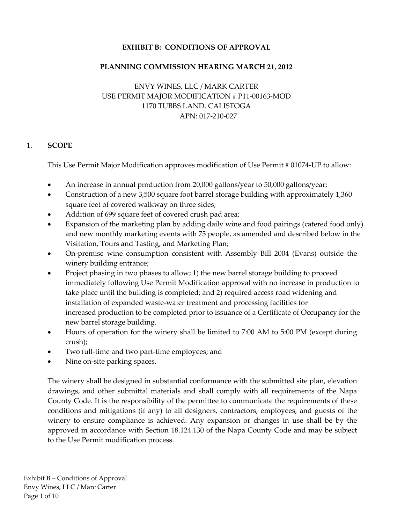# **EXHIBIT B: CONDITIONS OF APPROVAL**

# **PLANNING COMMISSION HEARING MARCH 21, 2012**

# ENVY WINES, LLC / MARK CARTER USE PERMIT MAJOR MODIFICATION # P11‐00163‐MOD 1170 TUBBS LAND, CALISTOGA APN: 017‐210‐027

#### 1. **SCOPE**

This Use Permit Major Modification approves modification of Use Permit # 01074‐UP to allow:

- An increase in annual production from 20,000 gallons/year to 50,000 gallons/year;
- Construction of a new 3,500 square foot barrel storage building with approximately 1,360 square feet of covered walkway on three sides;
- Addition of 699 square feet of covered crush pad area;
- Expansion of the marketing plan by adding daily wine and food pairings (catered food only) and new monthly marketing events with 75 people, as amended and described below in the Visitation, Tours and Tasting, and Marketing Plan;
- On-premise wine consumption consistent with Assembly Bill 2004 (Evans) outside the winery building entrance;
- Project phasing in two phases to allow; 1) the new barrel storage building to proceed immediately following Use Permit Modification approval with no increase in production to take place until the building is completed; and 2) required access road widening and installation of expanded waste‐water treatment and processing facilities for increased production to be completed prior to issuance of a Certificate of Occupancy for the new barrel storage building.
- Hours of operation for the winery shall be limited to 7:00 AM to 5:00 PM (except during crush);
- Two full-time and two part-time employees; and
- Nine on‐site parking spaces.

The winery shall be designed in substantial conformance with the submitted site plan, elevation drawings, and other submittal materials and shall comply with all requirements of the Napa County Code. It is the responsibility of the permittee to communicate the requirements of these conditions and mitigations (if any) to all designers, contractors, employees, and guests of the winery to ensure compliance is achieved. Any expansion or changes in use shall be by the approved in accordance with Section 18.124.130 of the Napa County Code and may be subject to the Use Permit modification process.

Exhibit B – Conditions of Approval Envy Wines, LLC / Marc Carter Page 1 of 10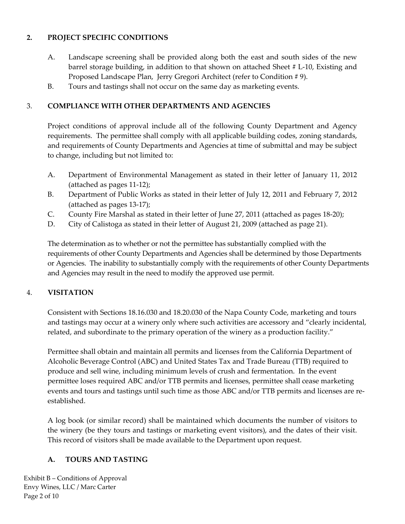# **2. PROJECT SPECIFIC CONDITIONS**

- A. Landscape screening shall be provided along both the east and south sides of the new barrel storage building, in addition to that shown on attached Sheet # L‐10, Existing and Proposed Landscape Plan, Jerry Gregori Architect (refer to Condition # 9).
- B. Tours and tastings shall not occur on the same day as marketing events.

#### 3. **COMPLIANCE WITH OTHER DEPARTMENTS AND AGENCIES**

Project conditions of approval include all of the following County Department and Agency requirements. The permittee shall comply with all applicable building codes, zoning standards, and requirements of County Departments and Agencies at time of submittal and may be subject to change, including but not limited to:

- A. Department of Environmental Management as stated in their letter of January 11, 2012 (attached as pages 11‐12);
- B. Department of Public Works as stated in their letter of July 12, 2011 and February 7, 2012 (attached as pages 13‐17);
- C. County Fire Marshal as stated in their letter of June 27, 2011 (attached as pages 18‐20);
- D. City of Calistoga as stated in their letter of August 21, 2009 (attached as page 21).

The determination as to whether or not the permittee has substantially complied with the requirements of other County Departments and Agencies shall be determined by those Departments or Agencies. The inability to substantially comply with the requirements of other County Departments and Agencies may result in the need to modify the approved use permit.

# 4. **VISITATION**

Consistent with Sections 18.16.030 and 18.20.030 of the Napa County Code, marketing and tours and tastings may occur at a winery only where such activities are accessory and "clearly incidental, related, and subordinate to the primary operation of the winery as a production facility."

Permittee shall obtain and maintain all permits and licenses from the California Department of Alcoholic Beverage Control (ABC) and United States Tax and Trade Bureau (TTB) required to produce and sell wine, including minimum levels of crush and fermentation. In the event permittee loses required ABC and/or TTB permits and licenses, permittee shall cease marketing events and tours and tastings until such time as those ABC and/or TTB permits and licenses are re‐ established.

A log book (or similar record) shall be maintained which documents the number of visitors to the winery (be they tours and tastings or marketing event visitors), and the dates of their visit. This record of visitors shall be made available to the Department upon request.

# **A. TOURS AND TASTING**

Exhibit B – Conditions of Approval Envy Wines, LLC / Marc Carter Page 2 of 10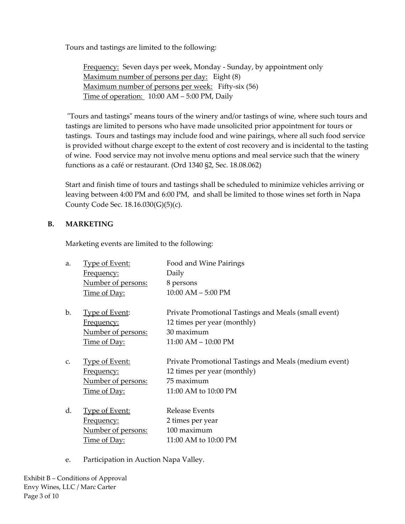Tours and tastings are limited to the following:

Frequency: Seven days per week, Monday - Sunday, by appointment only Maximum number of persons per day: Eight (8) Maximum number of persons per week: Fifty-six (56) Time of operation: 10:00 AM – 5:00 PM, Daily

"Tours and tastings" means tours of the winery and/or tastings of wine, where such tours and tastings are limited to persons who have made unsolicited prior appointment for tours or tastings. Tours and tastings may include food and wine pairings, where all such food service is provided without charge except to the extent of cost recovery and is incidental to the tasting of wine. Food service may not involve menu options and meal service such that the winery functions as a café or restaurant. (Ord 1340 §2, Sec. 18.08.062)

Start and finish time of tours and tastings shall be scheduled to minimize vehicles arriving or leaving between 4:00 PM and 6:00 PM, and shall be limited to those wines set forth in Napa County Code Sec. 18.16.030(G)(5)(c).

# **B. MARKETING**

Marketing events are limited to the following:

| a. | <b>Type of Event:</b> | Food and Wine Pairings                                |
|----|-----------------------|-------------------------------------------------------|
|    | Frequency:            | Daily                                                 |
|    | Number of persons:    | 8 persons                                             |
|    | Time of Day:          | $10:00$ AM $-5:00$ PM                                 |
| b. | <b>Type of Event:</b> | Private Promotional Tastings and Meals (small event)  |
|    | <u>Frequency:</u>     | 12 times per year (monthly)                           |
|    | Number of persons:    | 30 maximum                                            |
|    | <u>Time of Day:</u>   | $11:00$ AM $- 10:00$ PM                               |
| C. | <b>Type of Event:</b> | Private Promotional Tastings and Meals (medium event) |
|    | <u>Frequency:</u>     | 12 times per year (monthly)                           |
|    | Number of persons:    | 75 maximum                                            |
|    | Time of Day:          | 11:00 AM to 10:00 PM                                  |
| d. | <u>Type of Event:</u> | Release Events                                        |
|    | <u>Frequency:</u>     | 2 times per year                                      |
|    | Number of persons:    | 100 maximum                                           |
|    | <u>Time of Day:</u>   | 11:00 AM to 10:00 PM                                  |
|    |                       |                                                       |

e. Participation in Auction Napa Valley.

Exhibit B – Conditions of Approval Envy Wines, LLC / Marc Carter Page 3 of 10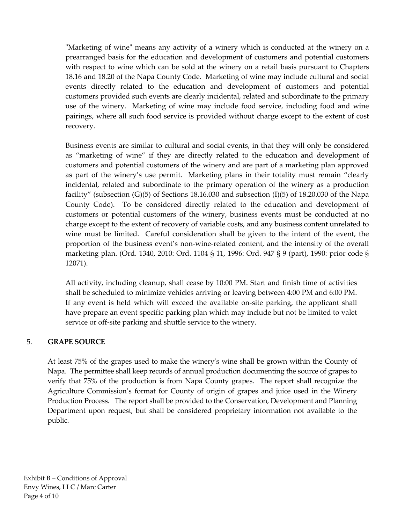ʺMarketing of wineʺ means any activity of a winery which is conducted at the winery on a prearranged basis for the education and development of customers and potential customers with respect to wine which can be sold at the winery on a retail basis pursuant to Chapters 18.16 and 18.20 of the Napa County Code. Marketing of wine may include cultural and social events directly related to the education and development of customers and potential customers provided such events are clearly incidental, related and subordinate to the primary use of the winery. Marketing of wine may include food service, including food and wine pairings, where all such food service is provided without charge except to the extent of cost recovery.

Business events are similar to cultural and social events, in that they will only be considered as "marketing of wine" if they are directly related to the education and development of customers and potential customers of the winery and are part of a marketing plan approved as part of the winery's use permit. Marketing plans in their totality must remain "clearly incidental, related and subordinate to the primary operation of the winery as a production facility" (subsection  $(G)(5)$  of Sections 18.16.030 and subsection  $(I)(5)$  of 18.20.030 of the Napa County Code). To be considered directly related to the education and development of customers or potential customers of the winery, business events must be conducted at no charge except to the extent of recovery of variable costs, and any business content unrelated to wine must be limited. Careful consideration shall be given to the intent of the event, the proportion of the business event's non-wine-related content, and the intensity of the overall marketing plan. (Ord. 1340, 2010: Ord. 1104 § 11, 1996: Ord. 947 § 9 (part), 1990: prior code § 12071).

All activity, including cleanup, shall cease by 10:00 PM. Start and finish time of activities shall be scheduled to minimize vehicles arriving or leaving between 4:00 PM and 6:00 PM. If any event is held which will exceed the available on-site parking, the applicant shall have prepare an event specific parking plan which may include but not be limited to valet service or off-site parking and shuttle service to the winery.

# 5. **GRAPE SOURCE**

At least 75% of the grapes used to make the winery's wine shall be grown within the County of Napa. The permittee shall keep records of annual production documenting the source of grapes to verify that 75% of the production is from Napa County grapes. The report shall recognize the Agriculture Commission's format for County of origin of grapes and juice used in the Winery Production Process. The report shall be provided to the Conservation, Development and Planning Department upon request, but shall be considered proprietary information not available to the public.

Exhibit B – Conditions of Approval Envy Wines, LLC / Marc Carter Page 4 of 10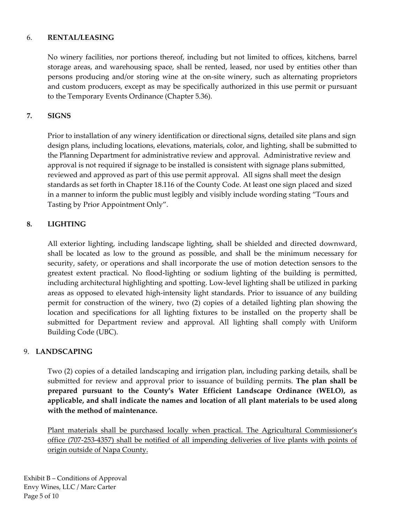#### 6. **RENTAL/LEASING**

No winery facilities, nor portions thereof, including but not limited to offices, kitchens, barrel storage areas, and warehousing space, shall be rented, leased, nor used by entities other than persons producing and/or storing wine at the on‐site winery, such as alternating proprietors and custom producers, except as may be specifically authorized in this use permit or pursuant to the Temporary Events Ordinance (Chapter 5.36).

# **7. SIGNS**

Prior to installation of any winery identification or directional signs, detailed site plans and sign design plans, including locations, elevations, materials, color, and lighting, shall be submitted to the Planning Department for administrative review and approval. Administrative review and approval is not required if signage to be installed is consistent with signage plans submitted, reviewed and approved as part of this use permit approval. All signs shall meet the design standards as set forth in Chapter 18.116 of the County Code. At least one sign placed and sized in a manner to inform the public must legibly and visibly include wording stating "Tours and Tasting by Prior Appointment Only".

# **8. LIGHTING**

All exterior lighting, including landscape lighting, shall be shielded and directed downward, shall be located as low to the ground as possible, and shall be the minimum necessary for security, safety, or operations and shall incorporate the use of motion detection sensors to the greatest extent practical. No flood‐lighting or sodium lighting of the building is permitted, including architectural highlighting and spotting. Low‐level lighting shall be utilized in parking areas as opposed to elevated high‐intensity light standards. Prior to issuance of any building permit for construction of the winery, two (2) copies of a detailed lighting plan showing the location and specifications for all lighting fixtures to be installed on the property shall be submitted for Department review and approval. All lighting shall comply with Uniform Building Code (UBC).

# 9. **LANDSCAPING**

Two (2) copies of a detailed landscaping and irrigation plan, including parking details, shall be submitted for review and approval prior to issuance of building permits. **The plan shall be prepared pursuant to the County's Water Efficient Landscape Ordinance (WELO), as applicable, and shall indicate the names and location of all plant materials to be used along with the method of maintenance.**

Plant materials shall be purchased locally when practical. The Agricultural Commissioner's office (707‐253‐4357) shall be notified of all impending deliveries of live plants with points of origin outside of Napa County.

Exhibit B – Conditions of Approval Envy Wines, LLC / Marc Carter Page 5 of 10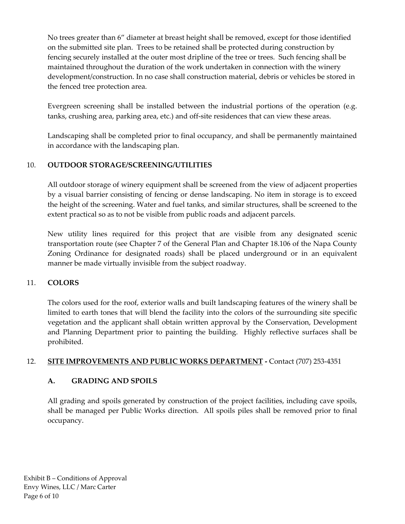No trees greater than 6" diameter at breast height shall be removed, except for those identified on the submitted site plan. Trees to be retained shall be protected during construction by fencing securely installed at the outer most dripline of the tree or trees. Such fencing shall be maintained throughout the duration of the work undertaken in connection with the winery development/construction. In no case shall construction material, debris or vehicles be stored in the fenced tree protection area.

Evergreen screening shall be installed between the industrial portions of the operation (e.g. tanks, crushing area, parking area, etc.) and off‐site residences that can view these areas.

Landscaping shall be completed prior to final occupancy, and shall be permanently maintained in accordance with the landscaping plan.

# 10. **OUTDOOR STORAGE/SCREENING/UTILITIES**

All outdoor storage of winery equipment shall be screened from the view of adjacent properties by a visual barrier consisting of fencing or dense landscaping. No item in storage is to exceed the height of the screening. Water and fuel tanks, and similar structures, shall be screened to the extent practical so as to not be visible from public roads and adjacent parcels.

New utility lines required for this project that are visible from any designated scenic transportation route (see Chapter 7 of the General Plan and Chapter 18.106 of the Napa County Zoning Ordinance for designated roads) shall be placed underground or in an equivalent manner be made virtually invisible from the subject roadway.

# 11. **COLORS**

The colors used for the roof, exterior walls and built landscaping features of the winery shall be limited to earth tones that will blend the facility into the colors of the surrounding site specific vegetation and the applicant shall obtain written approval by the Conservation, Development and Planning Department prior to painting the building. Highly reflective surfaces shall be prohibited.

# 12. **SITE IMPROVEMENTS AND PUBLIC WORKS DEPARTMENT ‐** Contact (707) 253‐4351

# **A. GRADING AND SPOILS**

All grading and spoils generated by construction of the project facilities, including cave spoils, shall be managed per Public Works direction. All spoils piles shall be removed prior to final occupancy.

Exhibit B – Conditions of Approval Envy Wines, LLC / Marc Carter Page 6 of 10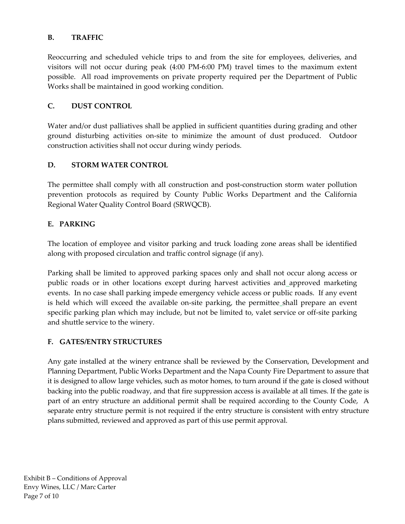# **B. TRAFFIC**

Reoccurring and scheduled vehicle trips to and from the site for employees, deliveries, and visitors will not occur during peak (4:00 PM‐6:00 PM) travel times to the maximum extent possible. All road improvements on private property required per the Department of Public Works shall be maintained in good working condition.

# **C. DUST CONTROL**

Water and/or dust palliatives shall be applied in sufficient quantities during grading and other ground disturbing activities on‐site to minimize the amount of dust produced. Outdoor construction activities shall not occur during windy periods.

# **D. STORM WATER CONTROL**

The permittee shall comply with all construction and post‐construction storm water pollution prevention protocols as required by County Public Works Department and the California Regional Water Quality Control Board (SRWQCB).

# **E. PARKING**

The location of employee and visitor parking and truck loading zone areas shall be identified along with proposed circulation and traffic control signage (if any).

Parking shall be limited to approved parking spaces only and shall not occur along access or public roads or in other locations except during harvest activities and approved marketing events. In no case shall parking impede emergency vehicle access or public roads. If any event is held which will exceed the available on-site parking, the permittee\_shall prepare an event specific parking plan which may include, but not be limited to, valet service or off-site parking and shuttle service to the winery.

# **F. GATES/ENTRY STRUCTURES**

Any gate installed at the winery entrance shall be reviewed by the Conservation, Development and Planning Department, Public Works Department and the Napa County Fire Department to assure that it is designed to allow large vehicles, such as motor homes, to turn around if the gate is closed without backing into the public roadway, and that fire suppression access is available at all times. If the gate is part of an entry structure an additional permit shall be required according to the County Code, A separate entry structure permit is not required if the entry structure is consistent with entry structure plans submitted, reviewed and approved as part of this use permit approval.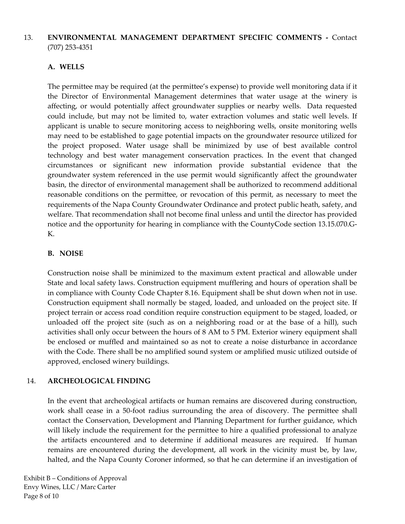# 13. **ENVIRONMENTAL MANAGEMENT DEPARTMENT SPECIFIC COMMENTS ‐**  Contact (707) 253‐4351

# **A. WELLS**

The permittee may be required (at the permittee's expense) to provide well monitoring data if it the Director of Environmental Management determines that water usage at the winery is affecting, or would potentially affect groundwater supplies or nearby wells. Data requested could include, but may not be limited to, water extraction volumes and static well levels. If applicant is unable to secure monitoring access to neighboring wells, onsite monitoring wells may need to be established to gage potential impacts on the groundwater resource utilized for the project proposed. Water usage shall be minimized by use of best available control technology and best water management conservation practices. In the event that changed circumstances or significant new information provide substantial evidence that the groundwater system referenced in the use permit would significantly affect the groundwater basin, the director of environmental management shall be authorized to recommend additional reasonable conditions on the permittee, or revocation of this permit, as necessary to meet the requirements of the Napa County Groundwater Ordinance and protect public heath, safety, and welfare. That recommendation shall not become final unless and until the director has provided notice and the opportunity for hearing in compliance with the CountyCode section 13.15.070.G‐ K.

#### **B. NOISE**

Construction noise shall be minimized to the maximum extent practical and allowable under State and local safety laws. Construction equipment mufflering and hours of operation shall be in compliance with County Code Chapter 8.16. Equipment shall be shut down when not in use. Construction equipment shall normally be staged, loaded, and unloaded on the project site. If project terrain or access road condition require construction equipment to be staged, loaded, or unloaded off the project site (such as on a neighboring road or at the base of a hill), such activities shall only occur between the hours of 8 AM to 5 PM. Exterior winery equipment shall be enclosed or muffled and maintained so as not to create a noise disturbance in accordance with the Code. There shall be no amplified sound system or amplified music utilized outside of approved, enclosed winery buildings.

# 14. **ARCHEOLOGICAL FINDING**

In the event that archeological artifacts or human remains are discovered during construction, work shall cease in a 50‐foot radius surrounding the area of discovery. The permittee shall contact the Conservation, Development and Planning Department for further guidance, which will likely include the requirement for the permittee to hire a qualified professional to analyze the artifacts encountered and to determine if additional measures are required. If human remains are encountered during the development, all work in the vicinity must be, by law, halted, and the Napa County Coroner informed, so that he can determine if an investigation of

Exhibit B – Conditions of Approval Envy Wines, LLC / Marc Carter Page 8 of 10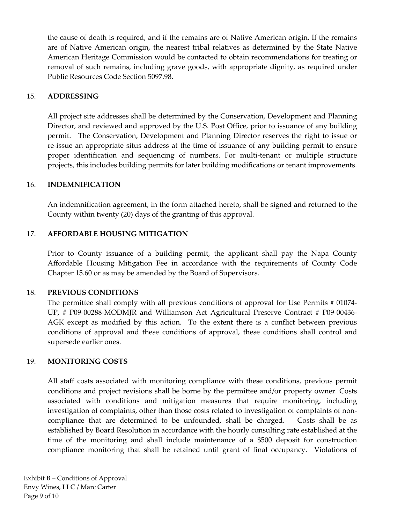the cause of death is required, and if the remains are of Native American origin. If the remains are of Native American origin, the nearest tribal relatives as determined by the State Native American Heritage Commission would be contacted to obtain recommendations for treating or removal of such remains, including grave goods, with appropriate dignity, as required under Public Resources Code Section 5097.98.

#### 15. **ADDRESSING**

All project site addresses shall be determined by the Conservation, Development and Planning Director, and reviewed and approved by the U.S. Post Office, prior to issuance of any building permit. The Conservation, Development and Planning Director reserves the right to issue or re‐issue an appropriate situs address at the time of issuance of any building permit to ensure proper identification and sequencing of numbers. For multi-tenant or multiple structure projects, this includes building permits for later building modifications or tenant improvements.

#### 16. **INDEMNIFICATION**

An indemnification agreement, in the form attached hereto, shall be signed and returned to the County within twenty (20) days of the granting of this approval.

#### 17. **AFFORDABLE HOUSING MITIGATION**

Prior to County issuance of a building permit, the applicant shall pay the Napa County Affordable Housing Mitigation Fee in accordance with the requirements of County Code Chapter 15.60 or as may be amended by the Board of Supervisors.

#### 18. **PREVIOUS CONDITIONS**

The permittee shall comply with all previous conditions of approval for Use Permits # 01074-UP, # P09‐00288‐MODMJR and Williamson Act Agricultural Preserve Contract # P09‐00436‐ AGK except as modified by this action. To the extent there is a conflict between previous conditions of approval and these conditions of approval, these conditions shall control and supersede earlier ones.

#### 19. **MONITORING COSTS**

All staff costs associated with monitoring compliance with these conditions, previous permit conditions and project revisions shall be borne by the permittee and/or property owner. Costs associated with conditions and mitigation measures that require monitoring, including investigation of complaints, other than those costs related to investigation of complaints of noncompliance that are determined to be unfounded, shall be charged. Costs shall be as established by Board Resolution in accordance with the hourly consulting rate established at the time of the monitoring and shall include maintenance of a \$500 deposit for construction compliance monitoring that shall be retained until grant of final occupancy. Violations of

Exhibit B – Conditions of Approval Envy Wines, LLC / Marc Carter Page 9 of 10